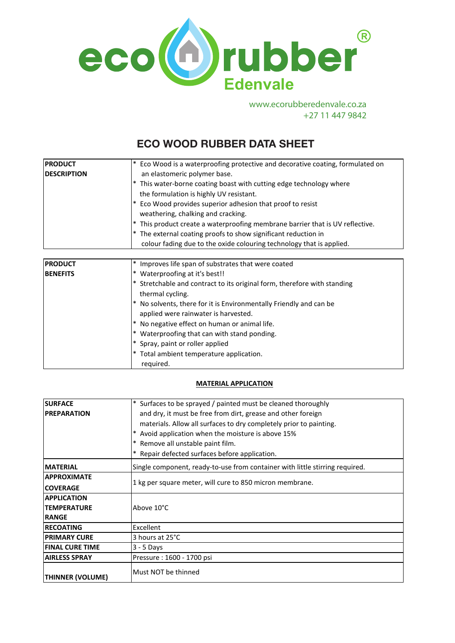

www.ecorubberedenvale.co.za +27 11 447 9842

# **ECO WOOD ECO WOOD RUBBER DATA SHEET**

| <b>PRODUCT</b>      | Eco Wood is a waterproofing protective and decorative coating, formulated on    |
|---------------------|---------------------------------------------------------------------------------|
| <b>IDESCRIPTION</b> | an elastomeric polymer base.                                                    |
|                     | $*$ This water-borne coating boast with cutting edge technology where           |
|                     | the formulation is highly UV resistant.                                         |
|                     | * Eco Wood provides superior adhesion that proof to resist                      |
|                     | weathering, chalking and cracking.                                              |
|                     | $*$ This product create a waterproofing membrane barrier that is UV reflective. |
|                     | $*$ The external coating proofs to show significant reduction in                |
|                     | colour fading due to the oxide colouring technology that is applied.            |
|                     |                                                                                 |
| דיווחמפם            | $\ast$ Improved life span of substrates that were coated                        |

| <b>PRODUCT</b>  | Improves life span of substrates that were coated                      |
|-----------------|------------------------------------------------------------------------|
| <b>BENEFITS</b> | Waterproofing at it's best!!                                           |
|                 | Stretchable and contract to its original form, therefore with standing |
|                 | thermal cycling.                                                       |
|                 | $*$ No solvents, there for it is Environmentally Friendly and can be   |
|                 | applied were rainwater is harvested.                                   |
|                 | No negative effect on human or animal life.                            |
|                 | Waterproofing that can with stand ponding.                             |
|                 | Spray, paint or roller applied                                         |
|                 | Total ambient temperature application.                                 |
|                 | required.                                                              |

### **MATERIAL APPLICATION**

| <b>SURFACE</b>          | Surfaces to be sprayed / painted must be cleaned thoroughly                  |  |
|-------------------------|------------------------------------------------------------------------------|--|
| <b>PREPARATION</b>      | and dry, it must be free from dirt, grease and other foreign                 |  |
|                         | materials. Allow all surfaces to dry completely prior to painting.           |  |
|                         | Avoid application when the moisture is above 15%                             |  |
|                         | Remove all unstable paint film.                                              |  |
|                         | * Repair defected surfaces before application.                               |  |
| <b>MATERIAL</b>         | Single component, ready-to-use from container with little stirring required. |  |
| <b>APPROXIMATE</b>      | 1 kg per square meter, will cure to 850 micron membrane.                     |  |
| <b>COVERAGE</b>         |                                                                              |  |
| <b>APPLICATION</b>      |                                                                              |  |
| <b>TEMPERATURE</b>      | Above 10°C                                                                   |  |
| <b>RANGE</b>            |                                                                              |  |
| <b>IRECOATING</b>       | Excellent                                                                    |  |
| <b>IPRIMARY CURE</b>    | 3 hours at 25°C                                                              |  |
| <b>FINAL CURE TIME</b>  | $3 - 5$ Days                                                                 |  |
| <b>AIRLESS SPRAY</b>    | Pressure: 1600 - 1700 psi                                                    |  |
| <b>THINNER (VOLUME)</b> | Must NOT be thinned                                                          |  |